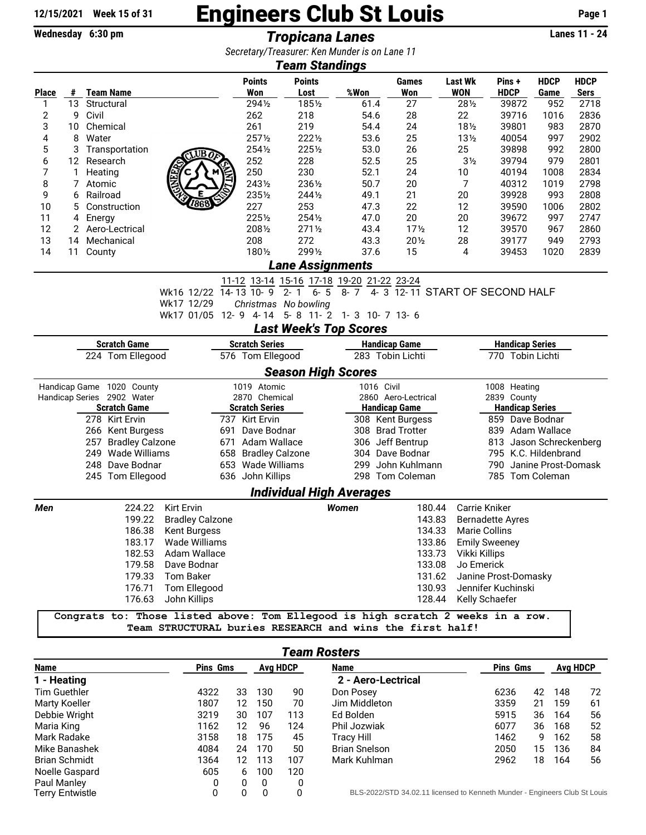## $\frac{12/15/2021}{\text{Wednesday } 6:30 \text{ pm}}$  Engineers Club St Louis Page 1<br>Tropicana Lanes

Wednesday 6:30 pm *Tropicana Lanes* Lanes 11 - 24

*Secretary/Treasurer: Ken Munder is on Lane 11*

|                        |    |                                                                                 |                                                          |               |                                         | Secretary/Treasurer. Keil Munder is on Lane TT<br><b>Team Standings</b>                                                                          |                      |                      |                              |                                |                        |                     |  |  |
|------------------------|----|---------------------------------------------------------------------------------|----------------------------------------------------------|---------------|-----------------------------------------|--------------------------------------------------------------------------------------------------------------------------------------------------|----------------------|----------------------|------------------------------|--------------------------------|------------------------|---------------------|--|--|
| Place                  | #  | <b>Team Name</b>                                                                |                                                          |               | <b>Points</b><br>Won                    | <b>Points</b><br>Lost                                                                                                                            | %Won                 | <b>Games</b><br>Won  | <b>Last Wk</b><br><b>WON</b> | Pins +<br><b>HDCP</b>          | <b>HDCP</b><br>Game    | <b>HDCP</b><br>Sers |  |  |
| 1                      | 13 | Structural                                                                      |                                                          |               | 2941/2                                  | 1851/2                                                                                                                                           | 61.4                 | 27                   | 281/2                        | 39872                          | 952                    | 2718                |  |  |
| 2                      | 9  | Civil                                                                           |                                                          |               | 262                                     | 218                                                                                                                                              | 54.6                 | 28                   | 22                           | 39716                          | 1016                   | 2836                |  |  |
| 3                      | 10 | Chemical                                                                        |                                                          |               | 261                                     | 219                                                                                                                                              | 54.4                 | 24                   | $18\frac{1}{2}$              | 39801                          | 983                    | 2870                |  |  |
| 4                      | 8  | Water                                                                           |                                                          |               | 2571/2                                  | 2221/2                                                                                                                                           | 53.6                 | 25                   | $13\frac{1}{2}$              | 40054                          | 997                    | 2902                |  |  |
| 5                      | 3  | Transportation                                                                  | WB∂                                                      |               | 2541/2                                  | 2251/2                                                                                                                                           | 53.0                 | 26                   | 25                           | 39898                          | 992                    | 2800                |  |  |
| 6                      | 12 | Research                                                                        |                                                          |               | 252                                     | 228                                                                                                                                              | 52.5                 | 25                   | 3 <sub>2</sub>               | 39794                          | 979                    | 2801                |  |  |
| 7                      | 1  | Heating                                                                         |                                                          |               | 250                                     | 230                                                                                                                                              | 52.1                 | 24                   | 10                           | 40194                          | 1008                   | 2834                |  |  |
| 8                      | 7  | Atomic                                                                          |                                                          |               | 2431/2                                  | 2361/2                                                                                                                                           | 50.7                 | 20                   | 7                            | 40312                          | 1019                   | 2798                |  |  |
| 9                      | 6  | Railroad                                                                        |                                                          |               | 2351/2                                  | 2441/2                                                                                                                                           | 49.1                 | 21                   | 20                           | 39928                          | 993                    | 2808                |  |  |
| 10                     | 5  | Construction                                                                    | 7868                                                     |               | 227                                     | 253                                                                                                                                              | 47.3                 | 22                   | 12                           | 39590                          | 1006                   | 2802                |  |  |
| 11                     | 4  | Energy                                                                          |                                                          |               | 2251/2                                  | 2541/2                                                                                                                                           | 47.0                 | 20                   | 20                           | 39672                          | 997                    | 2747                |  |  |
| 12                     |    | 2 Aero-Lectrical                                                                |                                                          |               | 2081/2                                  | $271\%$                                                                                                                                          | 43.4                 | $17\frac{1}{2}$      | 12                           | 39570                          | 967                    | 2860                |  |  |
| 13                     | 14 | Mechanical                                                                      |                                                          |               | 208                                     | 272                                                                                                                                              | 43.3                 | $20\frac{1}{2}$      | 28                           | 39177                          | 949                    | 2793                |  |  |
| 14                     | 11 | County                                                                          |                                                          |               | 1801/2                                  | 2991/2                                                                                                                                           | 37.6                 | 15                   | 4                            | 39453                          | 1020                   | 2839                |  |  |
|                        |    |                                                                                 |                                                          |               |                                         | <b>Lane Assignments</b>                                                                                                                          |                      |                      |                              |                                |                        |                     |  |  |
|                        |    |                                                                                 |                                                          |               |                                         |                                                                                                                                                  |                      |                      |                              |                                |                        |                     |  |  |
|                        |    |                                                                                 | Wk16 12/22 14-13 10-9                                    |               |                                         | $\frac{11-12}{14-13}$ $\frac{13-14}{10-9}$ $\frac{15-16}{2-1}$ $\frac{17-18}{6-5}$ $\frac{19-20}{8-7}$ $\frac{21-22}{4-3}$ $\frac{23-24}{12-11}$ |                      |                      |                              | 4-3 12-11 START OF SECOND HALF |                        |                     |  |  |
|                        |    |                                                                                 | Wk17 12/29                                               |               |                                         | Christmas No bowling                                                                                                                             |                      |                      |                              |                                |                        |                     |  |  |
|                        |    |                                                                                 | Wk17 01/05 12-9 4-14 5-8 11-2 1-3 10-7 13-6              |               |                                         |                                                                                                                                                  |                      |                      |                              |                                |                        |                     |  |  |
|                        |    |                                                                                 |                                                          |               |                                         | <b>Last Week's Top Scores</b>                                                                                                                    |                      |                      |                              |                                |                        |                     |  |  |
| <b>Scratch Game</b>    |    |                                                                                 |                                                          |               | <b>Scratch Series</b>                   |                                                                                                                                                  |                      | <b>Handicap Game</b> |                              |                                | <b>Handicap Series</b> |                     |  |  |
| 224 Tom Ellegood       |    |                                                                                 | 576 Tom Ellegood                                         |               |                                         | 283 Tobin Lichti                                                                                                                                 |                      | 770 Tobin Lichti     |                              |                                |                        |                     |  |  |
|                        |    |                                                                                 |                                                          |               |                                         | <b>Season High Scores</b>                                                                                                                        |                      |                      |                              |                                |                        |                     |  |  |
|                        |    | Handicap Game 1020 County                                                       |                                                          |               | 1019 Atomic                             |                                                                                                                                                  | 1016 Civil           |                      |                              | 1008 Heating                   |                        |                     |  |  |
|                        |    | Handicap Series 2902 Water                                                      |                                                          | 2870 Chemical |                                         |                                                                                                                                                  |                      | 2860 Aero-Lectrical  |                              | 2839 County                    |                        |                     |  |  |
|                        |    | <b>Scratch Game</b>                                                             |                                                          |               | <b>Scratch Series</b>                   |                                                                                                                                                  | <b>Handicap Game</b> |                      |                              | <b>Handicap Series</b>         |                        |                     |  |  |
|                        |    | 278 Kirt Ervin                                                                  |                                                          |               | 737 Kirt Ervin                          |                                                                                                                                                  |                      | 308 Kent Burgess     |                              | 859 Dave Bodnar                |                        |                     |  |  |
|                        |    | 266 Kent Burgess                                                                |                                                          | 691           | Dave Bodnar                             |                                                                                                                                                  |                      | 308 Brad Trotter     |                              | 839 Adam Wallace               |                        |                     |  |  |
|                        |    | 257<br><b>Bradley Calzone</b>                                                   |                                                          |               | 671 Adam Wallace<br>658 Bradley Calzone |                                                                                                                                                  |                      | 306 Jeff Bentrup     |                              | 813 Jason Schreckenberg        |                        |                     |  |  |
|                        |    | 249 Wade Williams                                                               |                                                          |               |                                         |                                                                                                                                                  |                      | 304 Dave Bodnar      |                              |                                | 795 K.C. Hildenbrand   |                     |  |  |
|                        |    | 248 Dave Bodnar                                                                 |                                                          |               |                                         | 653 Wade Williams                                                                                                                                | 299                  | John Kuhlmann        |                              | 790 Janine Prost-Domask        |                        |                     |  |  |
|                        |    | 245 Tom Ellegood                                                                |                                                          |               | 636 John Killips                        |                                                                                                                                                  |                      | 298 Tom Coleman      |                              | 785 Tom Coleman                |                        |                     |  |  |
|                        |    |                                                                                 |                                                          |               |                                         | <b>Individual High Averages</b>                                                                                                                  |                      |                      |                              |                                |                        |                     |  |  |
| Men                    |    | 224.22                                                                          | Kirt Ervin                                               |               |                                         |                                                                                                                                                  | <b>Women</b>         | 180.44               |                              | Carrie Kniker                  |                        |                     |  |  |
|                        |    | 199.22                                                                          | <b>Bradley Calzone</b>                                   |               |                                         |                                                                                                                                                  |                      | 143.83               |                              | <b>Bernadette Ayres</b>        |                        |                     |  |  |
|                        |    | 186.38                                                                          | <b>Kent Burgess</b>                                      |               |                                         |                                                                                                                                                  |                      | 134.33               |                              | <b>Marie Collins</b>           |                        |                     |  |  |
|                        |    | 183.17                                                                          | Wade Williams                                            |               |                                         |                                                                                                                                                  |                      | 133.86               |                              | <b>Emily Sweeney</b>           |                        |                     |  |  |
|                        |    |                                                                                 | 182.53 Adam Wallace                                      |               |                                         |                                                                                                                                                  |                      | 133.73               |                              | Vikki Killips                  |                        |                     |  |  |
|                        |    |                                                                                 | 179.58 Dave Bodnar                                       |               |                                         |                                                                                                                                                  |                      | 133.08               |                              | Jo Emerick                     |                        |                     |  |  |
|                        |    |                                                                                 | 179.33 Tom Baker                                         |               |                                         |                                                                                                                                                  |                      | 131.62               |                              | Janine Prost-Domasky           |                        |                     |  |  |
|                        |    | 176.71                                                                          | Tom Ellegood                                             |               |                                         |                                                                                                                                                  |                      | 130.93               |                              | Jennifer Kuchinski             |                        |                     |  |  |
| 176.63<br>John Killips |    |                                                                                 |                                                          |               |                                         |                                                                                                                                                  |                      | 128.44               |                              | Kelly Schaefer                 |                        |                     |  |  |
|                        |    | Congrats to: Those listed above: Tom Ellegood is high scratch 2 weeks in a row. |                                                          |               |                                         |                                                                                                                                                  |                      |                      |                              |                                |                        |                     |  |  |
|                        |    |                                                                                 | Team STRUCTURAL buries RESEARCH and wins the first half! |               |                                         |                                                                                                                                                  |                      |                      |                              |                                |                        |                     |  |  |
|                        |    |                                                                                 |                                                          |               |                                         |                                                                                                                                                  |                      |                      |                              |                                |                        |                     |  |  |

| Team Rosters           |                 |    |          |     |                                                                            |      |                 |     |          |  |
|------------------------|-----------------|----|----------|-----|----------------------------------------------------------------------------|------|-----------------|-----|----------|--|
| <b>Name</b>            | <b>Pins Gms</b> |    | Avg HDCP |     | Name                                                                       |      | <b>Pins Gms</b> |     | Avg HDCP |  |
| 1 - Heating            |                 |    |          |     | 2 - Aero-Lectrical                                                         |      |                 |     |          |  |
| Tim Guethler           | 4322            | 33 | 130      | 90  | Don Posey                                                                  | 6236 | 42              | 148 | 72       |  |
| Marty Koeller          | 1807            | 12 | 150      | 70  | Jim Middleton                                                              | 3359 | 21              | 159 | 61       |  |
| Debbie Wright          | 3219            | 30 | 107      | 113 | Ed Bolden                                                                  | 5915 | 36              | 164 | 56       |  |
| Maria King             | 1162            | 12 | 96       | 124 | Phil Jozwiak                                                               | 6077 | 36              | 168 | 52       |  |
| Mark Radake            | 3158            | 18 | 175      | 45  | Tracy Hill                                                                 | 1462 | 9               | 162 | 58       |  |
| Mike Banashek          | 4084            | 24 | 170      | 50  | <b>Brian Snelson</b>                                                       | 2050 | 15              | 136 | 84       |  |
| <b>Brian Schmidt</b>   | 1364            | 12 | 113      | 107 | Mark Kuhlman                                                               | 2962 | 18              | 164 | 56       |  |
| Noelle Gaspard         | 605             | 6  | 100      | 120 |                                                                            |      |                 |     |          |  |
| Paul Manley            | 0               | 0  | 0        | 0   |                                                                            |      |                 |     |          |  |
| <b>Terry Entwistle</b> | 0               | 0  | 0        | 0   | BLS-2022/STD 34.02.11 licensed to Kenneth Munder - Engineers Club St Louis |      |                 |     |          |  |